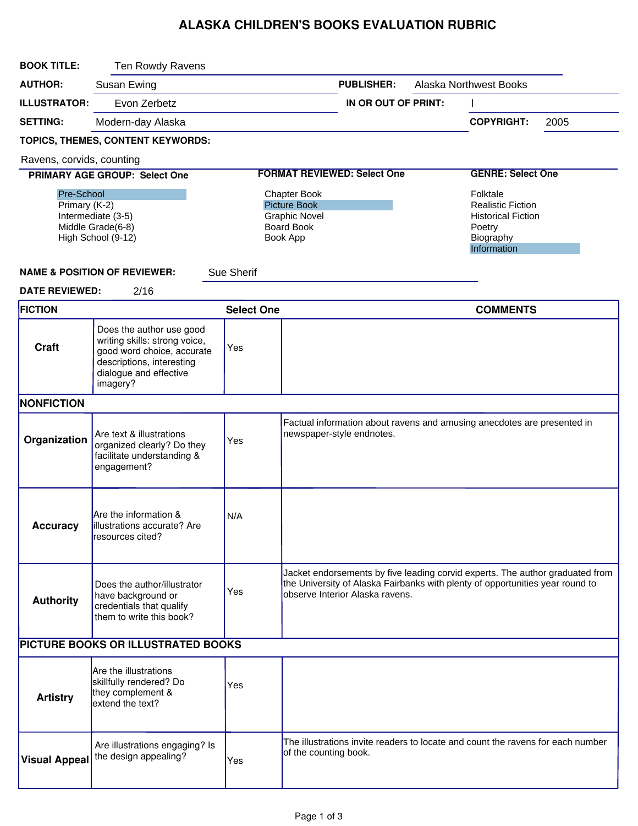## ALASKA CHILDREN'S BOOKS EVALUATION RUBRIC

| <b>BOOK TITLE:</b>                                                                           | Ten Rowdy Ravens                                                                                                                                           |                                                                                                     |                                                                                                                                                                                                   |                           |  |                                                                                                         |      |  |
|----------------------------------------------------------------------------------------------|------------------------------------------------------------------------------------------------------------------------------------------------------------|-----------------------------------------------------------------------------------------------------|---------------------------------------------------------------------------------------------------------------------------------------------------------------------------------------------------|---------------------------|--|---------------------------------------------------------------------------------------------------------|------|--|
| <b>AUTHOR:</b>                                                                               | Susan Ewing                                                                                                                                                |                                                                                                     |                                                                                                                                                                                                   | <b>PUBLISHER:</b>         |  | <b>Alaska Northwest Books</b>                                                                           |      |  |
| <b>ILLUSTRATOR:</b>                                                                          | Evon Zerbetz                                                                                                                                               |                                                                                                     |                                                                                                                                                                                                   | IN OR OUT OF PRINT:       |  |                                                                                                         |      |  |
| <b>SETTING:</b>                                                                              | Modern-day Alaska                                                                                                                                          |                                                                                                     |                                                                                                                                                                                                   |                           |  | <b>COPYRIGHT:</b>                                                                                       | 2005 |  |
|                                                                                              | TOPICS, THEMES, CONTENT KEYWORDS:                                                                                                                          |                                                                                                     |                                                                                                                                                                                                   |                           |  |                                                                                                         |      |  |
| Ravens, corvids, counting                                                                    |                                                                                                                                                            |                                                                                                     |                                                                                                                                                                                                   |                           |  |                                                                                                         |      |  |
|                                                                                              | PRIMARY AGE GROUP: Select One                                                                                                                              |                                                                                                     | <b>FORMAT REVIEWED: Select One</b>                                                                                                                                                                |                           |  | <b>GENRE: Select One</b>                                                                                |      |  |
| Pre-School<br>Primary (K-2)<br>Intermediate (3-5)<br>Middle Grade(6-8)<br>High School (9-12) |                                                                                                                                                            | <b>Chapter Book</b><br><b>Picture Book</b><br><b>Graphic Novel</b><br><b>Board Book</b><br>Book App |                                                                                                                                                                                                   |                           |  | Folktale<br><b>Realistic Fiction</b><br><b>Historical Fiction</b><br>Poetry<br>Biography<br>Information |      |  |
|                                                                                              | <b>NAME &amp; POSITION OF REVIEWER:</b>                                                                                                                    | Sue Sherif                                                                                          |                                                                                                                                                                                                   |                           |  |                                                                                                         |      |  |
| <b>DATE REVIEWED:</b>                                                                        | 2/16                                                                                                                                                       |                                                                                                     |                                                                                                                                                                                                   |                           |  |                                                                                                         |      |  |
| <b>FICTION</b>                                                                               |                                                                                                                                                            | <b>Select One</b>                                                                                   |                                                                                                                                                                                                   |                           |  | <b>COMMENTS</b>                                                                                         |      |  |
| <b>Craft</b>                                                                                 | Does the author use good<br>writing skills: strong voice,<br>good word choice, accurate<br>descriptions, interesting<br>dialogue and effective<br>imagery? | Yes                                                                                                 |                                                                                                                                                                                                   |                           |  |                                                                                                         |      |  |
| <b>NONFICTION</b>                                                                            |                                                                                                                                                            |                                                                                                     |                                                                                                                                                                                                   |                           |  |                                                                                                         |      |  |
| Organization                                                                                 | Are text & illustrations<br>organized clearly? Do they<br>facilitate understanding &<br>engagement?                                                        | Yes                                                                                                 |                                                                                                                                                                                                   | newspaper-style endnotes. |  | Factual information about ravens and amusing anecdotes are presented in                                 |      |  |
| Accuracy                                                                                     | Are the information &<br>illustrations accurate? Are<br>resources cited?                                                                                   | N/A                                                                                                 |                                                                                                                                                                                                   |                           |  |                                                                                                         |      |  |
| <b>Authority</b>                                                                             | Does the author/illustrator<br>have background or<br>credentials that qualify<br>them to write this book?                                                  | Yes                                                                                                 | Jacket endorsements by five leading corvid experts. The author graduated from<br>the University of Alaska Fairbanks with plenty of opportunities year round to<br>observe Interior Alaska ravens. |                           |  |                                                                                                         |      |  |
| PICTURE BOOKS OR ILLUSTRATED BOOKS                                                           |                                                                                                                                                            |                                                                                                     |                                                                                                                                                                                                   |                           |  |                                                                                                         |      |  |
| <b>Artistry</b>                                                                              | Are the illustrations<br>skillfully rendered? Do<br>they complement &<br>extend the text?                                                                  | Yes                                                                                                 |                                                                                                                                                                                                   |                           |  |                                                                                                         |      |  |
| <b>Visual Appeal</b>                                                                         | Are illustrations engaging? Is<br>the design appealing?                                                                                                    | Yes                                                                                                 | of the counting book.                                                                                                                                                                             |                           |  | The illustrations invite readers to locate and count the ravens for each number                         |      |  |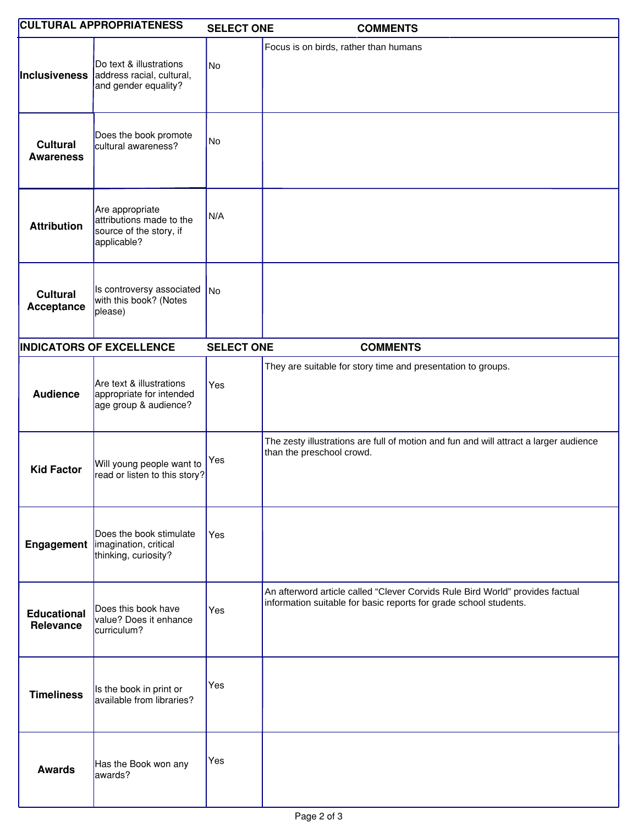|                                     | <b>CULTURAL APPROPRIATENESS</b>                                                                   | <b>SELECT ONE</b> | <b>COMMENTS</b>                                                                                                                                    |
|-------------------------------------|---------------------------------------------------------------------------------------------------|-------------------|----------------------------------------------------------------------------------------------------------------------------------------------------|
|                                     | Do text & illustrations<br><b>Inclusiveness</b> address racial, cultural,<br>and gender equality? | No                | Focus is on birds, rather than humans                                                                                                              |
| <b>Cultural</b><br><b>Awareness</b> | Does the book promote<br>cultural awareness?                                                      | No                |                                                                                                                                                    |
| <b>Attribution</b>                  | Are appropriate<br>attributions made to the<br>source of the story, if<br>applicable?             | N/A               |                                                                                                                                                    |
| <b>Cultural</b><br>Acceptance       | Is controversy associated<br>with this book? (Notes<br>please)                                    | No                |                                                                                                                                                    |
|                                     | <b>INDICATORS OF EXCELLENCE</b>                                                                   | <b>SELECT ONE</b> | <b>COMMENTS</b>                                                                                                                                    |
| <b>Audience</b>                     | Are text & illustrations<br>appropriate for intended<br>age group & audience?                     | Yes               | They are suitable for story time and presentation to groups.                                                                                       |
| <b>Kid Factor</b>                   | Will young people want to<br>read or listen to this story?                                        | Yes               | The zesty illustrations are full of motion and fun and will attract a larger audience<br>than the preschool crowd.                                 |
|                                     | Does the book stimulate<br><b>Engagement</b>   imagination, critical<br>thinking, curiosity?      | Yes               |                                                                                                                                                    |
| <b>Educational</b><br>Relevance     | Does this book have<br>value? Does it enhance<br>curriculum?                                      | Yes               | An afterword article called "Clever Corvids Rule Bird World" provides factual<br>information suitable for basic reports for grade school students. |
| <b>Timeliness</b>                   | Is the book in print or<br>available from libraries?                                              | Yes               |                                                                                                                                                    |
| <b>Awards</b>                       | Has the Book won any<br>awards?                                                                   | Yes               |                                                                                                                                                    |